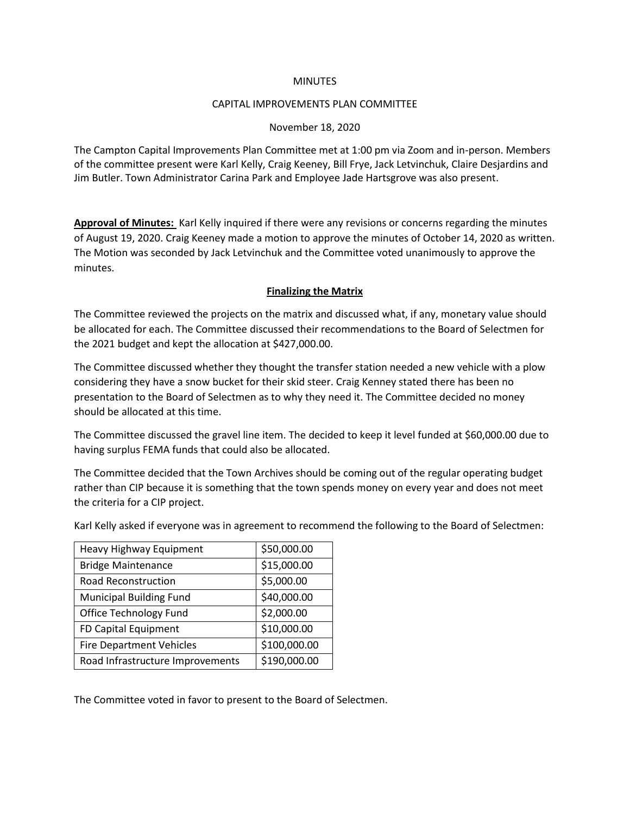### **MINUTES**

#### CAPITAL IMPROVEMENTS PLAN COMMITTEE

### November 18, 2020

The Campton Capital Improvements Plan Committee met at 1:00 pm via Zoom and in-person. Members of the committee present were Karl Kelly, Craig Keeney, Bill Frye, Jack Letvinchuk, Claire Desjardins and Jim Butler. Town Administrator Carina Park and Employee Jade Hartsgrove was also present.

**Approval of Minutes:** Karl Kelly inquired if there were any revisions or concerns regarding the minutes of August 19, 2020. Craig Keeney made a motion to approve the minutes of October 14, 2020 as written. The Motion was seconded by Jack Letvinchuk and the Committee voted unanimously to approve the minutes.

## **Finalizing the Matrix**

The Committee reviewed the projects on the matrix and discussed what, if any, monetary value should be allocated for each. The Committee discussed their recommendations to the Board of Selectmen for the 2021 budget and kept the allocation at \$427,000.00.

The Committee discussed whether they thought the transfer station needed a new vehicle with a plow considering they have a snow bucket for their skid steer. Craig Kenney stated there has been no presentation to the Board of Selectmen as to why they need it. The Committee decided no money should be allocated at this time.

The Committee discussed the gravel line item. The decided to keep it level funded at \$60,000.00 due to having surplus FEMA funds that could also be allocated.

The Committee decided that the Town Archives should be coming out of the regular operating budget rather than CIP because it is something that the town spends money on every year and does not meet the criteria for a CIP project.

| Heavy Highway Equipment          | \$50,000.00  |
|----------------------------------|--------------|
| <b>Bridge Maintenance</b>        | \$15,000.00  |
| <b>Road Reconstruction</b>       | \$5,000.00   |
| <b>Municipal Building Fund</b>   | \$40,000.00  |
| <b>Office Technology Fund</b>    | \$2,000.00   |
| FD Capital Equipment             | \$10,000.00  |
| <b>Fire Department Vehicles</b>  | \$100,000.00 |
| Road Infrastructure Improvements | \$190,000.00 |

Karl Kelly asked if everyone was in agreement to recommend the following to the Board of Selectmen:

The Committee voted in favor to present to the Board of Selectmen.